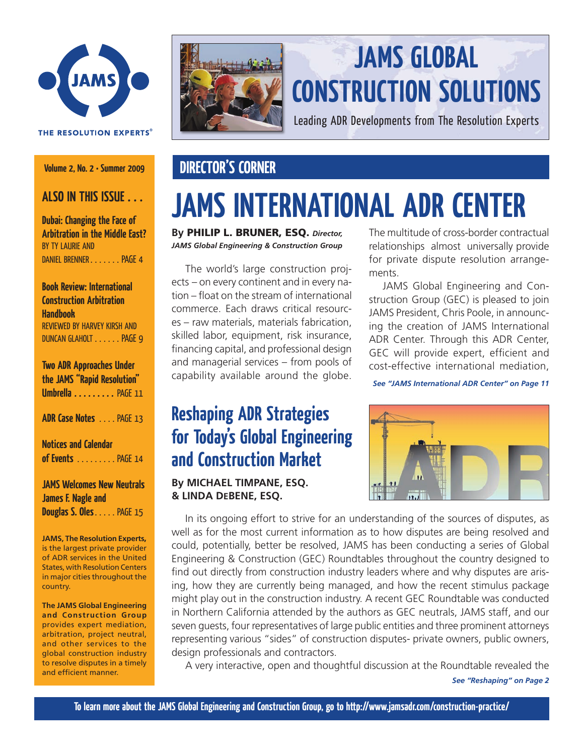

#### THE RESOLUTION EXPERTS®

**Volume 2, No. 2 • Summer 2009**

### **ALSO In this Issue . . .**

**Dubai: Changing the Face of Arbitration in the Middle East?** By Ty Laurie and Daniel Brenner . . . . . . . page 4

### **Book Review: International Construction Arbitration Handbook**

Reviewed by harvey kirsh and duncan glaholt . . . . . . page 9

## **Two ADR Approaches Under the JAMS "Rapid Resolution" Umbrella** . . . . . . . . . PAGE 11 **ADR Case Notes** . . . . page 13

**Notices and Calendar of Events** . . . . . . . . . page 14

### **JAMS Welcomes New Neutrals James F. Nagle and**

**Douglas S. Oles** . . . . . PAGE 15

**JAMS, The Resolution Experts**, is the largest private provider of ADR services in the United States, with Resolution Centers in major cities throughout the country.

**The JAMS Global Engineering and Construction Group** provides expert mediation, arbitration, project neutral, and other services to the global construction industry to resolve disputes in a timely and efficient manner.



## **JAMS GLOBAL CONSTRUCTION SOLUTIONS**

Leading ADR Developments from The Resolution Experts

## **DIRECTOR'S CORNER**

# **JAMS International ADR Center**

**By** Philip L. Bruner, ESQ. *Director, JAMS Global Engineering & Construction Group*

 The world's large construction projects – on every continent and in every nation – float on the stream of international commerce. Each draws critical resources – raw materials, materials fabrication, skilled labor, equipment, risk insurance, financing capital, and professional design and managerial services – from pools of capability available around the globe. The multitude of cross-border contractual relationships almost universally provide for private dispute resolution arrangements.

 JAMS Global Engineering and Construction Group (GEC) is pleased to join JAMS President, Chris Poole, in announcing the creation of JAMS International ADR Center. Through this ADR Center, GEC will provide expert, efficient and cost-effective international mediation,

*See "JAMS International ADR Center" on Page 11*

## **Reshaping ADR Strategies for Today's Global Engineering and Construction Market**

**By MICHAEL TIMPANE, Esq. & LINDA DeBENE, ESQ.**



 In its ongoing effort to strive for an understanding of the sources of disputes, as well as for the most current information as to how disputes are being resolved and could, potentially, better be resolved, JAMS has been conducting a series of Global Engineering & Construction (GEC) Roundtables throughout the country designed to find out directly from construction industry leaders where and why disputes are arising, how they are currently being managed, and how the recent stimulus package might play out in the construction industry. A recent GEC Roundtable was conducted in Northern California attended by the authors as GEC neutrals, JAMS staff, and our seven guests, four representatives of large public entities and three prominent attorneys representing various "sides" of construction disputes- private owners, public owners, design professionals and contractors.

 A very interactive, open and thoughtful discussion at the Roundtable revealed the

*See "Reshaping" on Page 2*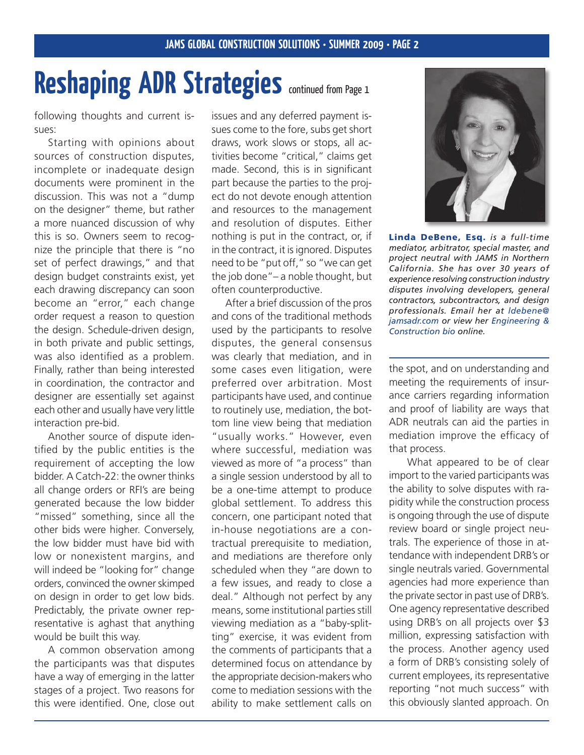# Reshaping ADR Strategies continued from Page 1

following thoughts and current issues:

 Starting with opinions about sources of construction disputes, incomplete or inadequate design documents were prominent in the discussion. This was not a "dump on the designer" theme, but rather a more nuanced discussion of why this is so. Owners seem to recognize the principle that there is "no set of perfect drawings," and that design budget constraints exist, yet each drawing discrepancy can soon become an "error," each change order request a reason to question the design. Schedule-driven design, in both private and public settings, was also identified as a problem. Finally, rather than being interested in coordination, the contractor and designer are essentially set against each other and usually have very little interaction pre-bid.

 Another source of dispute identified by the public entities is the requirement of accepting the low bidder. A Catch-22: the owner thinks all change orders or RFI's are being generated because the low bidder "missed" something, since all the other bids were higher. Conversely, the low bidder must have bid with low or nonexistent margins, and will indeed be "looking for" change orders, convinced the owner skimped on design in order to get low bids. Predictably, the private owner representative is aghast that anything would be built this way.

 A common observation among the participants was that disputes have a way of emerging in the latter stages of a project. Two reasons for this were identified. One, close out

issues and any deferred payment issues come to the fore, subs get short draws, work slows or stops, all activities become "critical," claims get made. Second, this is in significant part because the parties to the project do not devote enough attention and resources to the management and resolution of disputes. Either nothing is put in the contract, or, if in the contract, it is ignored. Disputes need to be "put off," so "we can get the job done"– a noble thought, but often counterproductive.

 After a brief discussion of the pros and cons of the traditional methods used by the participants to resolve disputes, the general consensus was clearly that mediation, and in some cases even litigation, were preferred over arbitration. Most participants have used, and continue to routinely use, mediation, the bottom line view being that mediation "usually works." However, even where successful, mediation was viewed as more of "a process" than a single session understood by all to be a one-time attempt to produce global settlement. To address this concern, one participant noted that in-house negotiations are a contractual prerequisite to mediation, and mediations are therefore only scheduled when they "are down to a few issues, and ready to close a deal." Although not perfect by any means, some institutional parties still viewing mediation as a "baby-splitting" exercise, it was evident from the comments of participants that a determined focus on attendance by the appropriate decision-makers who come to mediation sessions with the ability to make settlement calls on



Linda DeBene, Esq. *is a full-time mediator, arbitrator, special master, and project neutral with JAMS in Northern California. She has over 30 years of experience resolving construction industry disputes involving developers, general contractors, subcontractors, and design professionals. Email her at ldebene@ jamsadr.com or view her [Engineering &](http://www.jamsadr.com/professionals/xpqProfDet.aspx?xpST=ProfessionalDetail&professional=1152&ajax=no&nbioID=661dc1fd-db06-4c06-9081-caa0aff31de5)  [Construction](http://www.jamsadr.com/professionals/xpqProfDet.aspx?xpST=ProfessionalDetail&professional=1152&ajax=no&nbioID=661dc1fd-db06-4c06-9081-caa0aff31de5) bio online.*

the spot, and on understanding and meeting the requirements of insurance carriers regarding information and proof of liability are ways that ADR neutrals can aid the parties in mediation improve the efficacy of that process.

What appeared to be of clear import to the varied participants was the ability to solve disputes with rapidity while the construction process is ongoing through the use of dispute review board or single project neutrals. The experience of those in attendance with independent DRB's or single neutrals varied. Governmental agencies had more experience than the private sector in past use of DRB's. One agency representative described using DRB's on all projects over \$3 million, expressing satisfaction with the process. Another agency used a form of DRB's consisting solely of current employees, its representative reporting "not much success" with this obviously slanted approach. On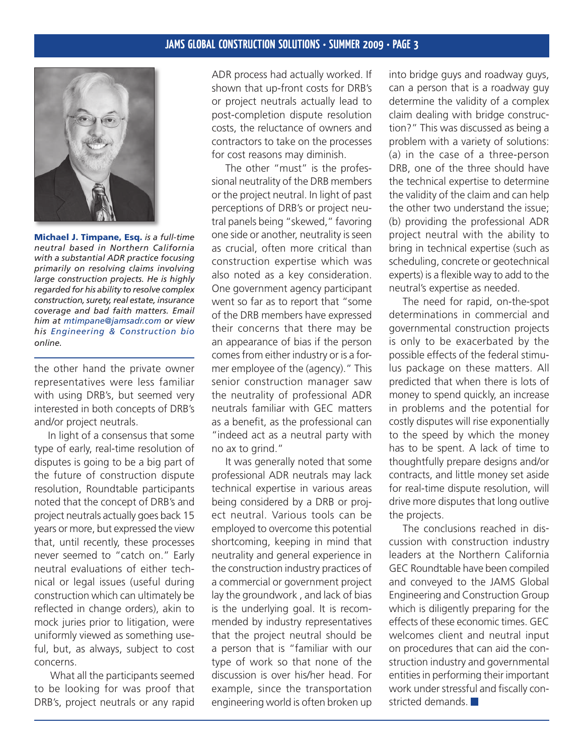

Michael J. Timpane, Esq. *is a full-time neutral based in Northern California with a substantial ADR practice focusing primarily on resolving claims involving large construction projects. He is highly regarded for his ability to resolve complex construction, surety, real estate, insurance coverage and bad faith matters. Email him at mtimpane@jamsadr.com or view his [Engineering & Construction bio](http://www.jamsadr.com/professionals/xpqProfDet.aspx?xpST=ProfessionalDetail&professional=1226&ajax=no&nbioID=b05c1597-5a31-4264-abdd-172ae5107af8) online.*

the other hand the private owner representatives were less familiar with using DRB's, but seemed very interested in both concepts of DRB's and/or project neutrals.

 In light of a consensus that some type of early, real-time resolution of disputes is going to be a big part of the future of construction dispute resolution, Roundtable participants noted that the concept of DRB's and project neutrals actually goes back 15 years or more, but expressed the view that, until recently, these processes never seemed to "catch on." Early neutral evaluations of either technical or legal issues (useful during construction which can ultimately be reflected in change orders), akin to mock juries prior to litigation, were uniformly viewed as something useful, but, as always, subject to cost concerns.

What all the participants seemed to be looking for was proof that DRB's, project neutrals or any rapid

ADR process had actually worked. If shown that up-front costs for DRB's or project neutrals actually lead to post-completion dispute resolution costs, the reluctance of owners and contractors to take on the processes for cost reasons may diminish.

 The other "must" is the professional neutrality of the DRB members or the project neutral. In light of past perceptions of DRB's or project neutral panels being "skewed," favoring one side or another, neutrality is seen as crucial, often more critical than construction expertise which was also noted as a key consideration. One government agency participant went so far as to report that "some of the DRB members have expressed their concerns that there may be an appearance of bias if the person comes from either industry or is a former employee of the (agency)." This senior construction manager saw the neutrality of professional ADR neutrals familiar with GEC matters as a benefit, as the professional can "indeed act as a neutral party with no ax to grind."

 It was generally noted that some professional ADR neutrals may lack technical expertise in various areas being considered by a DRB or project neutral. Various tools can be employed to overcome this potential shortcoming, keeping in mind that neutrality and general experience in the construction industry practices of a commercial or government project lay the groundwork , and lack of bias is the underlying goal. It is recommended by industry representatives that the project neutral should be a person that is "familiar with our type of work so that none of the discussion is over his/her head. For example, since the transportation engineering world is often broken up

into bridge guys and roadway guys, can a person that is a roadway guy determine the validity of a complex claim dealing with bridge construction?" This was discussed as being a problem with a variety of solutions: (a) in the case of a three-person DRB, one of the three should have the technical expertise to determine the validity of the claim and can help the other two understand the issue; (b) providing the professional ADR project neutral with the ability to bring in technical expertise (such as scheduling, concrete or geotechnical experts) is a flexible way to add to the neutral's expertise as needed.

 The need for rapid, on-the-spot determinations in commercial and governmental construction projects is only to be exacerbated by the possible effects of the federal stimulus package on these matters. All predicted that when there is lots of money to spend quickly, an increase in problems and the potential for costly disputes will rise exponentially to the speed by which the money has to be spent. A lack of time to thoughtfully prepare designs and/or contracts, and little money set aside for real-time dispute resolution, will drive more disputes that long outlive the projects.

 The conclusions reached in discussion with construction industry leaders at the Northern California GEC Roundtable have been compiled and conveyed to the JAMS Global Engineering and Construction Group which is diligently preparing for the effects of these economic times. GEC welcomes client and neutral input on procedures that can aid the construction industry and governmental entities in performing their important work under stressful and fiscally constricted demands.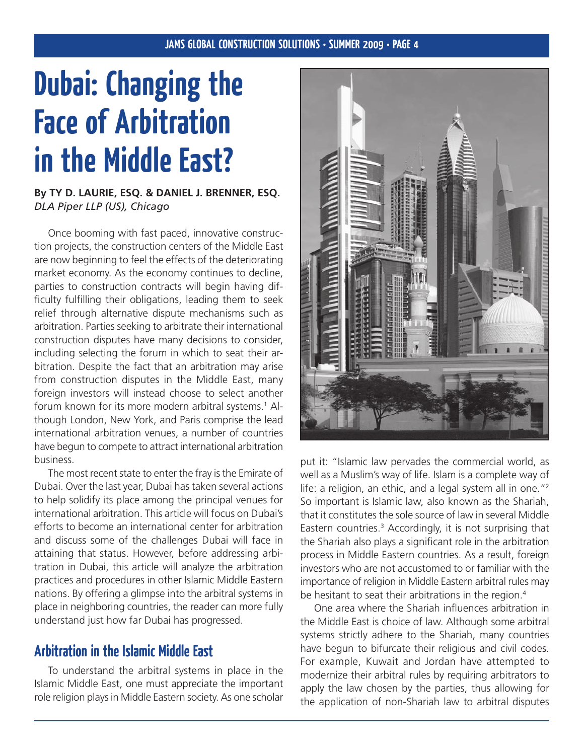# **Dubai: Changing the Face of Arbitration in the Middle East?**

### **By Ty D. Laurie, ESQ. & Daniel J. Brenner, ESQ.** *DLA Piper LLP (US), Chicago*

 Once booming with fast paced, innovative construction projects, the construction centers of the Middle East are now beginning to feel the effects of the deteriorating market economy. As the economy continues to decline, parties to construction contracts will begin having difficulty fulfilling their obligations, leading them to seek relief through alternative dispute mechanisms such as arbitration. Parties seeking to arbitrate their international construction disputes have many decisions to consider, including selecting the forum in which to seat their arbitration. Despite the fact that an arbitration may arise from construction disputes in the Middle East, many foreign investors will instead choose to select another forum known for its more modern arbitral systems.<sup>1</sup> Although London, New York, and Paris comprise the lead international arbitration venues, a number of countries have begun to compete to attract international arbitration business.

The most recent state to enter the fray is the Emirate of Dubai. Over the last year, Dubai has taken several actions to help solidify its place among the principal venues for international arbitration. This article will focus on Dubai's efforts to become an international center for arbitration and discuss some of the challenges Dubai will face in attaining that status. However, before addressing arbitration in Dubai, this article will analyze the arbitration practices and procedures in other Islamic Middle Eastern nations. By offering a glimpse into the arbitral systems in place in neighboring countries, the reader can more fully understand just how far Dubai has progressed.

## **Arbitration in the Islamic Middle East**

 To understand the arbitral systems in place in the Islamic Middle East, one must appreciate the important role religion plays in Middle Eastern society. As one scholar



put it: "Islamic law pervades the commercial world, as well as a Muslim's way of life. Islam is a complete way of life: a religion, an ethic, and a legal system all in one."<sup>2</sup> So important is Islamic law, also known as the Shariah, that it constitutes the sole source of law in several Middle Eastern countries.3 Accordingly, it is not surprising that the Shariah also plays a significant role in the arbitration process in Middle Eastern countries. As a result, foreign investors who are not accustomed to or familiar with the importance of religion in Middle Eastern arbitral rules may be hesitant to seat their arbitrations in the region.<sup>4</sup>

 One area where the Shariah influences arbitration in the Middle East is choice of law. Although some arbitral systems strictly adhere to the Shariah, many countries have begun to bifurcate their religious and civil codes. For example, Kuwait and Jordan have attempted to modernize their arbitral rules by requiring arbitrators to apply the law chosen by the parties, thus allowing for the application of non-Shariah law to arbitral disputes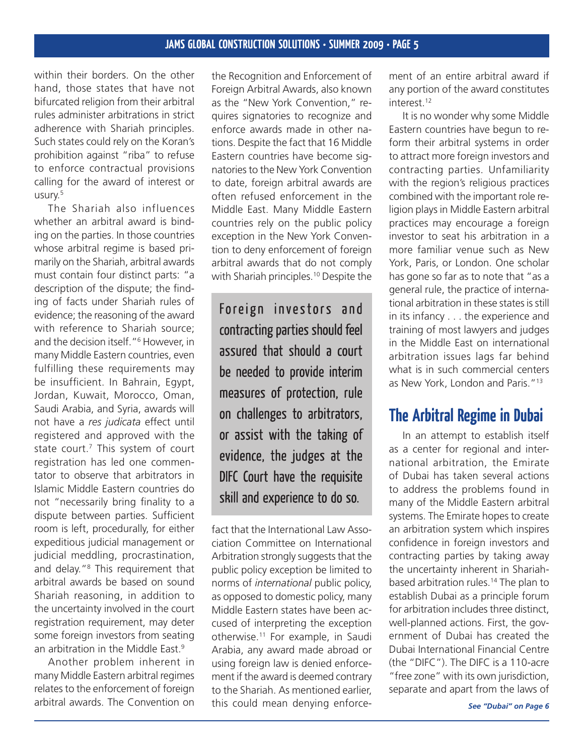within their borders. On the other hand, those states that have not bifurcated religion from their arbitral rules administer arbitrations in strict adherence with Shariah principles. Such states could rely on the Koran's prohibition against "riba" to refuse to enforce contractual provisions calling for the award of interest or usury.5

 The Shariah also influences whether an arbitral award is binding on the parties. In those countries whose arbitral regime is based primarily on the Shariah, arbitral awards must contain four distinct parts: "a description of the dispute; the finding of facts under Shariah rules of evidence; the reasoning of the award with reference to Shariah source; and the decision itself."6 However, in many Middle Eastern countries, even fulfilling these requirements may be insufficient. In Bahrain, Egypt, Jordan, Kuwait, Morocco, Oman, Saudi Arabia, and Syria, awards will not have a *res judicata* effect until registered and approved with the state court.<sup>7</sup> This system of court registration has led one commentator to observe that arbitrators in Islamic Middle Eastern countries do not "necessarily bring finality to a dispute between parties. Sufficient room is left, procedurally, for either expeditious judicial management or judicial meddling, procrastination, and delay."8 This requirement that arbitral awards be based on sound Shariah reasoning, in addition to the uncertainty involved in the court registration requirement, may deter some foreign investors from seating an arbitration in the Middle East.<sup>9</sup>

 Another problem inherent in many Middle Eastern arbitral regimes relates to the enforcement of foreign arbitral awards. The Convention on

the Recognition and Enforcement of Foreign Arbitral Awards, also known as the "New York Convention," requires signatories to recognize and enforce awards made in other nations. Despite the fact that 16 Middle Eastern countries have become signatories to the New York Convention to date, foreign arbitral awards are often refused enforcement in the Middle East. Many Middle Eastern countries rely on the public policy exception in the New York Convention to deny enforcement of foreign arbitral awards that do not comply with Shariah principles.<sup>10</sup> Despite the

Foreign investors and contracting parties should feel assured that should a court be needed to provide interim measures of protection, rule on challenges to arbitrators, or assist with the taking of evidence, the judges at the DIFC Court have the requisite skill and experience to do so.

fact that the International Law Association Committee on International Arbitration strongly suggests that the public policy exception be limited to norms of *international* public policy, as opposed to domestic policy, many Middle Eastern states have been accused of interpreting the exception otherwise.<sup>11</sup> For example, in Saudi Arabia, any award made abroad or using foreign law is denied enforcement if the award is deemed contrary to the Shariah. As mentioned earlier, this could mean denying enforcement of an entire arbitral award if any portion of the award constitutes interest.<sup>12</sup>

 It is no wonder why some Middle Eastern countries have begun to reform their arbitral systems in order to attract more foreign investors and contracting parties. Unfamiliarity with the region's religious practices combined with the important role religion plays in Middle Eastern arbitral practices may encourage a foreign investor to seat his arbitration in a more familiar venue such as New York, Paris, or London. One scholar has gone so far as to note that "as a general rule, the practice of international arbitration in these states is still in its infancy . . . the experience and training of most lawyers and judges in the Middle East on international arbitration issues lags far behind what is in such commercial centers as New York, London and Paris."13

## **The Arbitral Regime in Dubai**

 In an attempt to establish itself as a center for regional and international arbitration, the Emirate of Dubai has taken several actions to address the problems found in many of the Middle Eastern arbitral systems. The Emirate hopes to create an arbitration system which inspires confidence in foreign investors and contracting parties by taking away the uncertainty inherent in Shariahbased arbitration rules.<sup>14</sup> The plan to establish Dubai as a principle forum for arbitration includes three distinct, well-planned actions. First, the government of Dubai has created the Dubai International Financial Centre (the "DIFC"). The DIFC is a 110-acre "free zone" with its own jurisdiction, separate and apart from the laws of

*See "Dubai" on Page 6*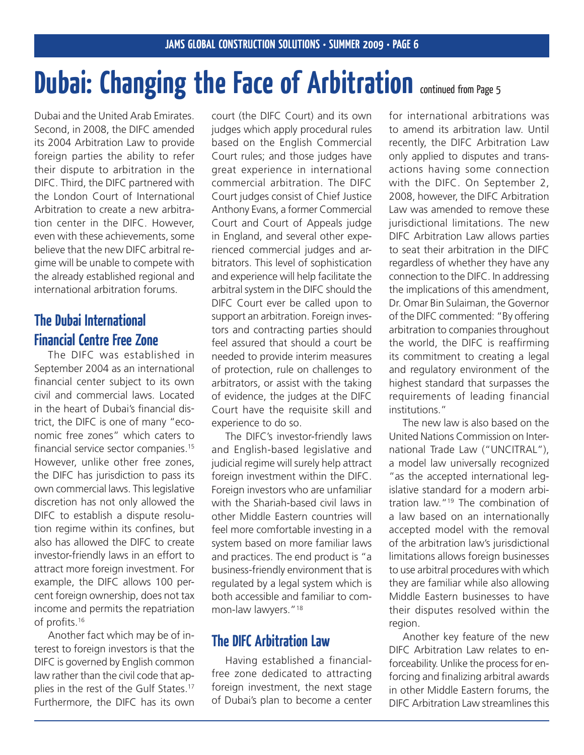# **Dubai: Changing the Face of Arbitration continued from Page 5**

Dubai and the United Arab Emirates. Second, in 2008, the DIFC amended its 2004 Arbitration Law to provide foreign parties the ability to refer their dispute to arbitration in the DIFC. Third, the DIFC partnered with the London Court of International Arbitration to create a new arbitration center in the DIFC. However, even with these achievements, some believe that the new DIFC arbitral regime will be unable to compete with the already established regional and international arbitration forums.

## **The Dubai International Financial Centre Free Zone**

 The DIFC was established in September 2004 as an international financial center subject to its own civil and commercial laws. Located in the heart of Dubai's financial district, the DIFC is one of many "economic free zones" which caters to financial service sector companies.15 However, unlike other free zones, the DIFC has jurisdiction to pass its own commercial laws. This legislative discretion has not only allowed the DIFC to establish a dispute resolution regime within its confines, but also has allowed the DIFC to create investor-friendly laws in an effort to attract more foreign investment. For example, the DIFC allows 100 percent foreign ownership, does not tax income and permits the repatriation of profits.16

 Another fact which may be of interest to foreign investors is that the DIFC is governed by English common law rather than the civil code that applies in the rest of the Gulf States.<sup>17</sup> Furthermore, the DIFC has its own

court (the DIFC Court) and its own judges which apply procedural rules based on the English Commercial Court rules; and those judges have great experience in international commercial arbitration. The DIFC Court judges consist of Chief Justice Anthony Evans, a former Commercial Court and Court of Appeals judge in England, and several other experienced commercial judges and arbitrators. This level of sophistication and experience will help facilitate the arbitral system in the DIFC should the DIFC Court ever be called upon to support an arbitration. Foreign investors and contracting parties should feel assured that should a court be needed to provide interim measures of protection, rule on challenges to arbitrators, or assist with the taking of evidence, the judges at the DIFC Court have the requisite skill and experience to do so.

 The DIFC's investor-friendly laws and English-based legislative and judicial regime will surely help attract foreign investment within the DIFC. Foreign investors who are unfamiliar with the Shariah-based civil laws in other Middle Eastern countries will feel more comfortable investing in a system based on more familiar laws and practices. The end product is "a business-friendly environment that is regulated by a legal system which is both accessible and familiar to common-law lawyers."18

### **The DIFC Arbitration Law**

 Having established a financialfree zone dedicated to attracting foreign investment, the next stage of Dubai's plan to become a center

for international arbitrations was to amend its arbitration law. Until recently, the DIFC Arbitration Law only applied to disputes and transactions having some connection with the DIFC. On September 2, 2008, however, the DIFC Arbitration Law was amended to remove these jurisdictional limitations. The new DIFC Arbitration Law allows parties to seat their arbitration in the DIFC regardless of whether they have any connection to the DIFC. In addressing the implications of this amendment, Dr. Omar Bin Sulaiman, the Governor of the DIFC commented: "By offering arbitration to companies throughout the world, the DIFC is reaffirming its commitment to creating a legal and regulatory environment of the highest standard that surpasses the requirements of leading financial institutions."

 The new law is also based on the United Nations Commission on International Trade Law ("UNCITRAL"), a model law universally recognized "as the accepted international legislative standard for a modern arbitration law."19 The combination of a law based on an internationally accepted model with the removal of the arbitration law's jurisdictional limitations allows foreign businesses to use arbitral procedures with which they are familiar while also allowing Middle Eastern businesses to have their disputes resolved within the region.

 Another key feature of the new DIFC Arbitration Law relates to enforceability. Unlike the process for enforcing and finalizing arbitral awards in other Middle Eastern forums, the DIFC Arbitration Law streamlines this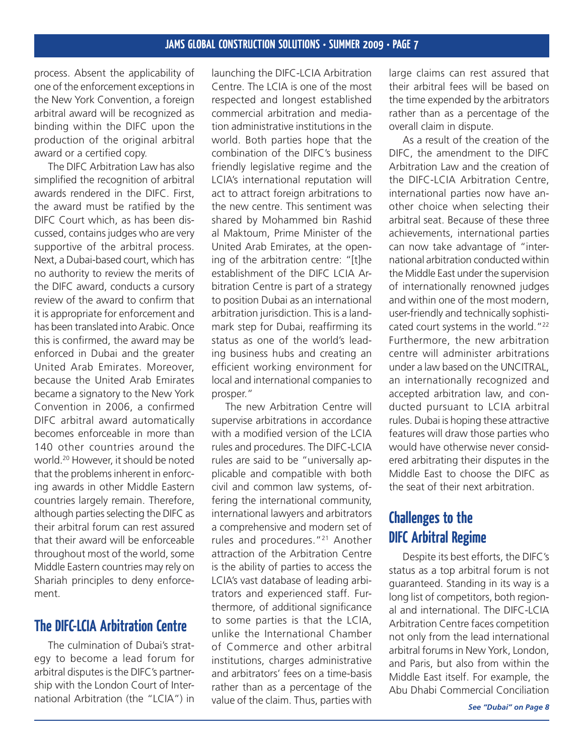process. Absent the applicability of one of the enforcement exceptionsin the New York Convention, a foreign arbitral award will be recognized as binding within the DIFC upon the production of the original arbitral award or a certified copy.

 The DIFC Arbitration Law has also simplified the recognition of arbitral awards rendered in the DIFC. First, the award must be ratified by the DIFC Court which, as has been discussed, contains judges who are very supportive of the arbitral process. Next, a Dubai-based court, which has no authority to review the merits of the DIFC award, conducts a cursory review of the award to confirm that it is appropriate for enforcement and has been translated into Arabic. Once this is confirmed, the award may be enforced in Dubai and the greater United Arab Emirates. Moreover, because the United Arab Emirates became a signatory to the New York Convention in 2006, a confirmed DIFC arbitral award automatically becomes enforceable in more than 140 other countries around the world.20 However, it should be noted that the problems inherent in enforcing awards in other Middle Eastern countries largely remain. Therefore, although parties selecting the DIFC as their arbitral forum can rest assured that their award will be enforceable throughout most of the world, some Middle Eastern countries may rely on Shariah principles to deny enforcement.

### **The DIFC-LCIA Arbitration Centre**

 The culmination of Dubai's strategy to become a lead forum for arbitral disputes is the DIFC's partnership with the London Court of International Arbitration (the "LCIA") in

launching the DIFC-LCIA Arbitration Centre. The LCIA is one of the most respected and longest established commercial arbitration and mediation administrative institutions in the world. Both parties hope that the combination of the DIFC's business friendly legislative regime and the LCIA's international reputation will act to attract foreign arbitrations to the new centre. This sentiment was shared by Mohammed bin Rashid al Maktoum, Prime Minister of the United Arab Emirates, at the opening of the arbitration centre: "[t]he establishment of the DIFC LCIA Arbitration Centre is part of a strategy to position Dubai as an international arbitration jurisdiction. This is a landmark step for Dubai, reaffirming its status as one of the world's leading business hubs and creating an efficient working environment for local and international companies to prosper."

 The new Arbitration Centre will supervise arbitrations in accordance with a modified version of the LCIA rules and procedures. The DIFC-LCIA rules are said to be "universally applicable and compatible with both civil and common law systems, offering the international community, international lawyers and arbitrators a comprehensive and modern set of rules and procedures."21 Another attraction of the Arbitration Centre is the ability of parties to access the LCIA's vast database of leading arbitrators and experienced staff. Furthermore, of additional significance to some parties is that the LCIA, unlike the International Chamber of Commerce and other arbitral institutions, charges administrative and arbitrators' fees on a time-basis rather than as a percentage of the value of the claim. Thus, parties with large claims can rest assured that their arbitral fees will be based on the time expended by the arbitrators rather than as a percentage of the overall claim in dispute.

 As a result of the creation of the DIFC, the amendment to the DIFC Arbitration Law and the creation of the DIFC-LCIA Arbitration Centre, international parties now have another choice when selecting their arbitral seat. Because of these three achievements, international parties can now take advantage of "international arbitration conducted within the Middle East under the supervision of internationally renowned judges and within one of the most modern, user-friendly and technically sophisticated court systems in the world."<sup>22</sup> Furthermore, the new arbitration centre will administer arbitrations under a law based on the UNCITRAL, an internationally recognized and accepted arbitration law, and conducted pursuant to LCIA arbitral rules. Dubai is hoping these attractive features will draw those parties who would have otherwise never considered arbitrating their disputes in the Middle East to choose the DIFC as the seat of their next arbitration.

## **Challenges to the DIFC Arbitral Regime**

 Despite its best efforts, the DIFC's status as a top arbitral forum is not guaranteed. Standing in its way is a long list of competitors, both regional and international. The DIFC-LCIA Arbitration Centre faces competition not only from the lead international arbitral forums in New York, London, and Paris, but also from within the Middle East itself. For example, the Abu Dhabi Commercial Conciliation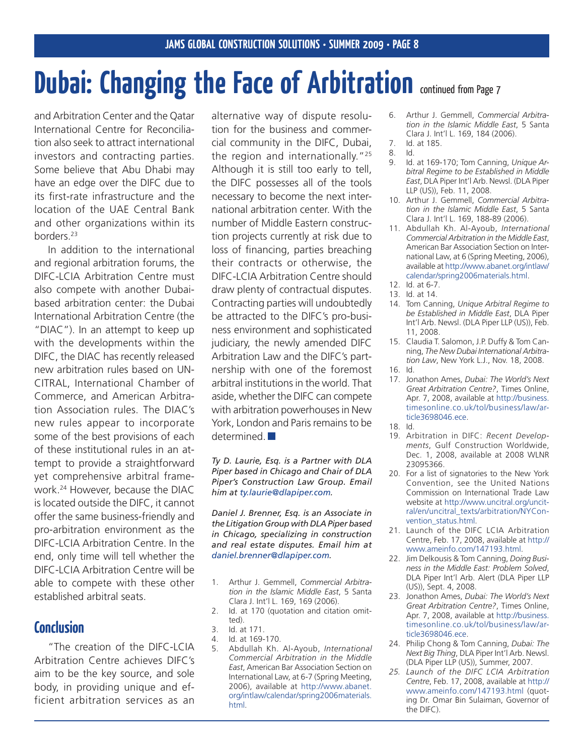# **Dubai: Changing the Face of Arbitration continued from Page 7**

and Arbitration Center and the Qatar International Centre for Reconciliation also seek to attract international investors and contracting parties. Some believe that Abu Dhabi may have an edge over the DIFC due to its first-rate infrastructure and the location of the UAE Central Bank and other organizations within its borders.23

 In addition to the international and regional arbitration forums, the DIFC-LCIA Arbitration Centre must also compete with another Dubaibased arbitration center: the Dubai International Arbitration Centre (the "DIAC"). In an attempt to keep up with the developments within the DIFC, the DIAC has recently released new arbitration rules based on UN-CITRAL, International Chamber of Commerce, and American Arbitration Association rules. The DIAC's new rules appear to incorporate some of the best provisions of each of these institutional rules in an attempt to provide a straightforward yet comprehensive arbitral framework.24 However, because the DIAC is located outside the DIFC, it cannot offer the same business-friendly and pro-arbitration environment as the DIFC-LCIA Arbitration Centre. In the end, only time will tell whether the DIFC-LCIA Arbitration Centre will be able to compete with these other established arbitral seats.

### **Conclusion**

"The creation of the DIFC-LCIA Arbitration Centre achieves DIFC's aim to be the key source, and sole body, in providing unique and efficient arbitration services as an

alternative way of dispute resolution for the business and commercial community in the DIFC, Dubai, the region and internationally."<sup>25</sup> Although it is still too early to tell, the DIFC possesses all of the tools necessary to become the next international arbitration center. With the number of Middle Eastern construction projects currently at risk due to loss of financing, parties breaching their contracts or otherwise, the DIFC-LCIA Arbitration Centre should draw plenty of contractual disputes. Contracting parties will undoubtedly be attracted to the DIFC's pro-business environment and sophisticated judiciary, the newly amended DIFC Arbitration Law and the DIFC's partnership with one of the foremost arbitral institutions in the world. That aside, whether the DIFC can compete with arbitration powerhouses in New York, London and Paris remains to be determined<sup>1</sup>

*Ty D. Laurie, Esq. is a Partner with DLA Piper based in Chicago and Chair of DLA Piper's Construction Law Group. Email him at ty.laurie@dlapiper.com.*

*Daniel J. Brenner, Esq. is an Associate in the Litigation Group with DLA Piper based in Chicago, specializing in construction and real estate disputes. Email him at daniel.brenner@dlapiper.com.*

- Arthur J. Gemmell, *Commercial Arbitration in the Islamic Middle East*, 5 Santa Clara J. Int'l L. 169, 169 (2006). 1.
- Id. at 170 (quotation and citation omitted). 2.
- Id. at 171. 3.
- Id. at 169-170. 4.
- Abdullah Kh. Al-Ayoub, *International Commercial Arbitration in the Middle East*, American Bar Association Section on International Law, at 6-7 (Spring Meeting, 2006), available at [http://www.abanet.](http://www.abanet.org/intlaw/calendar/spring2006materials.html) [org/intlaw/calendar/spring2006materials.](http://www.abanet.org/intlaw/calendar/spring2006materials.html) [html.](http://www.abanet.org/intlaw/calendar/spring2006materials.html) 5.
- Arthur J. Gemmell, *Commercial Arbitra-*6. *tion in the Islamic Middle East*, 5 Santa Clara J. Int'l L. 169, 184 (2006).
- Id. at 185. 7. 8.
	- Id. Id. at 169-170; Tom Canning, *Unique Ar-*
- *bitral Regime to be Established in Middle East*, DLA Piper Int'l Arb. Newsl. (DLA Piper LLP (US)), Feb. 11, 2008. 9.
- Arthur J. Gemmell, *Commercial Arbitra-*10. *tion in the Islamic Middle East*, 5 Santa Clara J. Int'l L. 169, 188-89 (2006).
- Abdullah Kh. Al-Ayoub, *International*  11. *Commercial Arbitration in the Middle East*, American Bar Association Section on International Law, at 6 (Spring Meeting, 2006), available at [http://www.abanet.org/intlaw/](http://www.abanet.org/intlaw/calendar/spring2006materials.html) [calendar/spring2006materials.html](http://www.abanet.org/intlaw/calendar/spring2006materials.html).
- Id. at 6-7. 12.
- Id. at 14. 13.
- 14. Tom Canning, Unique Arbitral Regime to *be Established in Middle East*, DLA Piper Int'l Arb. Newsl. (DLA Piper LLP (US)), Feb. 11, 2008.
- 15. Claudia T. Salomon, J.P. Duffy & Tom Canning, *The New Dubai International Arbitration Law*, New York L.J., Nov. 18, 2008.
- Id. 16.
- 17. Jonathon Ames, Dubai: The World's Next *Great Arbitration Centre?*, Times Online, Apr. 7, 2008, available at [http://business.](http://business.timesonline.co.uk/tol/business/law/article3698046.ece) [timesonline.co.uk/tol/business/law/ar](http://business.timesonline.co.uk/tol/business/law/article3698046.ece)[ticle3698046.ece](http://business.timesonline.co.uk/tol/business/law/article3698046.ece).
- Id. 18.
- 19. Arbitration in DIFC: Recent Develop*ments*, Gulf Construction Worldwide, Dec. 1, 2008, available at 2008 WLNR 23095366.
- 20. For a list of signatories to the New York Convention, see the United Nations Commission on International Trade Law website at [http://www.uncitral.org/uncit](http://www.uncitral.org/uncitral/en/uncitral_texts/arbitration/NYConvention_status.html)[ral/en/uncitral\\_texts/arbitration/NYCon](http://www.uncitral.org/uncitral/en/uncitral_texts/arbitration/NYConvention_status.html)[vention\\_status.html](http://www.uncitral.org/uncitral/en/uncitral_texts/arbitration/NYConvention_status.html).
- 21. Launch of the DIFC LCIA Arbitration Centre, Feb. 17, 2008, available at [http://](http://www.ameinfo.com/147193.html) [www.ameinfo.com/147193.html](http://www.ameinfo.com/147193.html).
- Jim Delkousis & Tom Canning, *Doing Busi-*22. *ness in the Middle East: Problem Solved*, DLA Piper Int'l Arb. Alert (DLA Piper LLP (US)), Sept. 4, 2008.
- Jonathon Ames, *Dubai: The World's Next*  23. *Great Arbitration Centre?*, Times Online, Apr. 7, 2008, available at [http://business.](http://business.timesonline.co.uk/tol/business/law/article3698046.ece) [timesonline.co.uk/tol/business/law/ar](http://business.timesonline.co.uk/tol/business/law/article3698046.ece)[ticle3698046.ece](http://business.timesonline.co.uk/tol/business/law/article3698046.ece).
- 24. Philip Chong & Tom Canning, *Dubai: The Next Big Thing*, DLA Piper Int'l Arb. Newsl. (DLA Piper LLP (US)), Summer, 2007.
- *Launch of the DIFC LCIA Arbitration 25.Centre*, Feb. 17, 2008, available at [http://](http://www.ameinfo.com/147193.html ) [www.ameinfo.com/147193.html](http://www.ameinfo.com/147193.html ) (quoting Dr. Omar Bin Sulaiman, Governor of the DIFC).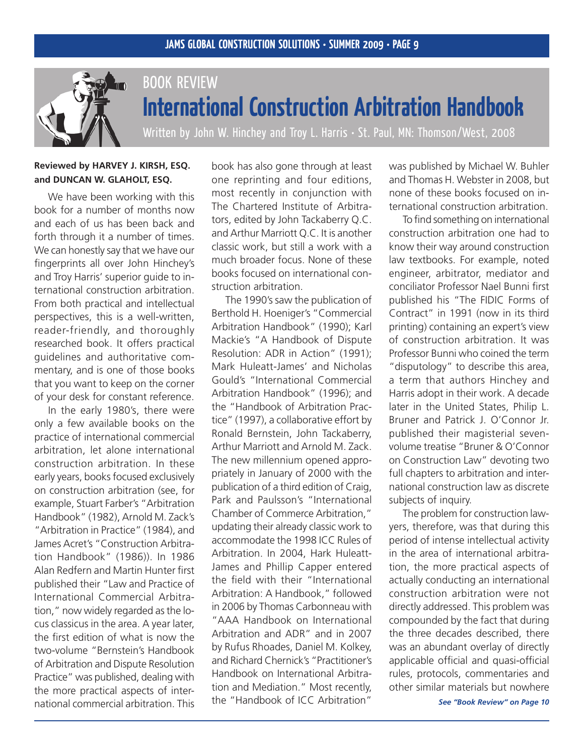

## BOOK REVIEW **International Construction Arbitration Handbook**

Written by John W. Hinchey and Troy L. Harris · St. Paul, MN: Thomson/West, 2008

### **Reviewed by Harvey J. Kirsh, ESQ. and Duncan W. Glaholt, esq.**

We have been working with this book for a number of months now and each of us has been back and forth through it a number of times. We can honestly say that we have our fingerprints all over John Hinchey's and Troy Harris' superior guide to international construction arbitration. From both practical and intellectual perspectives, this is a well-written, reader-friendly, and thoroughly researched book. It offers practical guidelines and authoritative commentary, and is one of those books that you want to keep on the corner of your desk for constant reference.

 In the early 1980's, there were only a few available books on the practice of international commercial arbitration, let alone international construction arbitration. In these early years, books focused exclusively on construction arbitration (see, for example, Stuart Farber's "Arbitration Handbook" (1982), Arnold M. Zack's "Arbitration in Practice" (1984), and James Acret's "Construction Arbitration Handbook" (1986)). In 1986 Alan Redfern and Martin Hunter first published their "Law and Practice of International Commercial Arbitration," now widely regarded as the locus classicus in the area. A year later, the first edition of what is now the two-volume "Bernstein's Handbook of Arbitration and Dispute Resolution Practice" was published, dealing with the more practical aspects of international commercial arbitration. This

book has also gone through at least one reprinting and four editions, most recently in conjunction with The Chartered Institute of Arbitrators, edited by John Tackaberry Q.C. and Arthur Marriott Q.C. It is another classic work, but still a work with a much broader focus. None of these books focused on international construction arbitration.

 The 1990's saw the publication of Berthold H. Hoeniger's "Commercial Arbitration Handbook" (1990); Karl Mackie's "A Handbook of Dispute Resolution: ADR in Action" (1991); Mark Huleatt-James' and Nicholas Gould's "International Commercial Arbitration Handbook" (1996); and the "Handbook of Arbitration Practice" (1997), a collaborative effort by Ronald Bernstein, John Tackaberry, Arthur Marriott and Arnold M. Zack. The new millennium opened appropriately in January of 2000 with the publication of a third edition of Craig, Park and Paulsson's "International Chamber of Commerce Arbitration," updating their already classic work to accommodate the 1998 ICC Rules of Arbitration. In 2004, Hark Huleatt-James and Phillip Capper entered the field with their "International Arbitration: A Handbook," followed in 2006 by Thomas Carbonneau with "AAA Handbook on International Arbitration and ADR" and in 2007 by Rufus Rhoades, Daniel M. Kolkey, and Richard Chernick's "Practitioner's Handbook on International Arbitration and Mediation." Most recently, the "Handbook of ICC Arbitration"

was published by Michael W. Buhler and Thomas H. Webster in 2008, but none of these books focused on international construction arbitration.

 To find something on international construction arbitration one had to know their way around construction law textbooks. For example, noted engineer, arbitrator, mediator and conciliator Professor Nael Bunni first published his "The FIDIC Forms of Contract" in 1991 (now in its third printing) containing an expert's view of construction arbitration. It was Professor Bunni who coined the term "disputology" to describe this area, a term that authors Hinchey and Harris adopt in their work. A decade later in the United States, Philip L. Bruner and Patrick J. O'Connor Jr. published their magisterial sevenvolume treatise "Bruner & O'Connor on Construction Law" devoting two full chapters to arbitration and international construction law as discrete subjects of inquiry.

 The problem for construction lawyers, therefore, was that during this period of intense intellectual activity in the area of international arbitration, the more practical aspects of actually conducting an international construction arbitration were not directly addressed. This problem was compounded by the fact that during the three decades described, there was an abundant overlay of directly applicable official and quasi-official rules, protocols, commentaries and other similar materials but nowhere

*See "Book Review" on Page 10*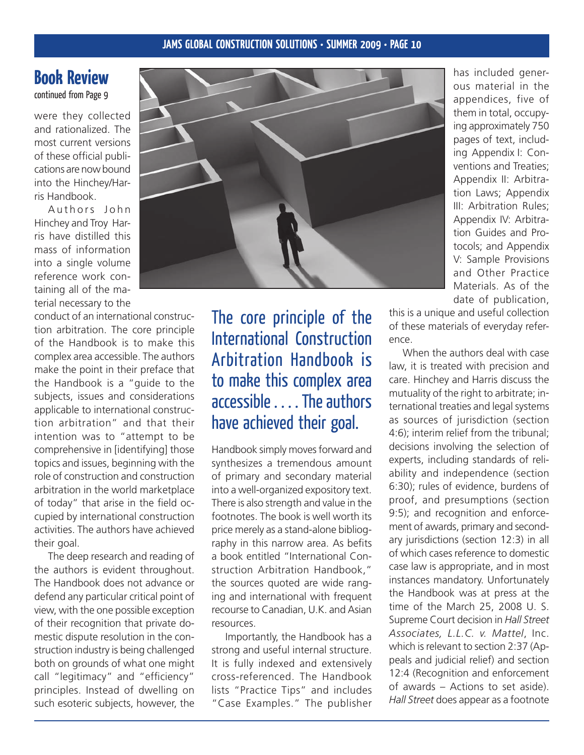## **Book Review**

continued from Page 9

were they collected and rationalized. The most current versions of these official publications are now bound into the Hinchey/Harris Handbook.

Authors John Hinchey and Troy Harris have distilled this mass of information into a single volume reference work containing all of the material necessary to the

conduct of an international construction arbitration. The core principle of the Handbook is to make this complex area accessible. The authors make the point in their preface that the Handbook is a "guide to the subjects, issues and considerations applicable to international construction arbitration" and that their intention was to "attempt to be comprehensive in [identifying] those topics and issues, beginning with the role of construction and construction arbitration in the world marketplace of today" that arise in the field occupied by international construction activities. The authors have achieved their goal.

 The deep research and reading of the authors is evident throughout. The Handbook does not advance or defend any particular critical point of view, with the one possible exception of their recognition that private domestic dispute resolution in the construction industry is being challenged both on grounds of what one might call "legitimacy" and "efficiency" principles. Instead of dwelling on such esoteric subjects, however, the



The core principle of the International Construction Arbitration Handbook is to make this complex area accessible .... The authors have achieved their goal.

Handbook simply moves forward and synthesizes a tremendous amount of primary and secondary material into a well-organized expository text. There is also strength and value in the footnotes. The book is well worth its price merely as a stand-alone bibliography in this narrow area. As befits a book entitled "International Construction Arbitration Handbook," the sources quoted are wide ranging and international with frequent recourse to Canadian, U.K. and Asian resources.

 Importantly, the Handbook has a strong and useful internal structure. It is fully indexed and extensively cross-referenced. The Handbook lists "Practice Tips" and includes "Case Examples." The publisher

has included generous material in the appendices, five of them in total, occupying approximately 750 pages of text, including Appendix I: Conventions and Treaties; Appendix II: Arbitration Laws; Appendix III: Arbitration Rules; Appendix IV: Arbitration Guides and Protocols; and Appendix V: Sample Provisions and Other Practice Materials. As of the date of publication,

this is a unique and useful collection of these materials of everyday reference.

 When the authors deal with case law, it is treated with precision and care. Hinchey and Harris discuss the mutuality of the right to arbitrate; international treaties and legal systems as sources of jurisdiction (section 4:6); interim relief from the tribunal; decisions involving the selection of experts, including standards of reliability and independence (section 6:30); rules of evidence, burdens of proof, and presumptions (section 9:5); and recognition and enforcement of awards, primary and secondary jurisdictions (section 12:3) in all of which cases reference to domestic case law is appropriate, and in most instances mandatory. Unfortunately the Handbook was at press at the time of the March 25, 2008 U. S. Supreme Court decision in *Hall Street Associates, L.L.C. v. Mattel*, Inc. which is relevant to section 2:37 (Appeals and judicial relief) and section 12:4 (Recognition and enforcement of awards – Actions to set aside). *Hall Street* does appear as a footnote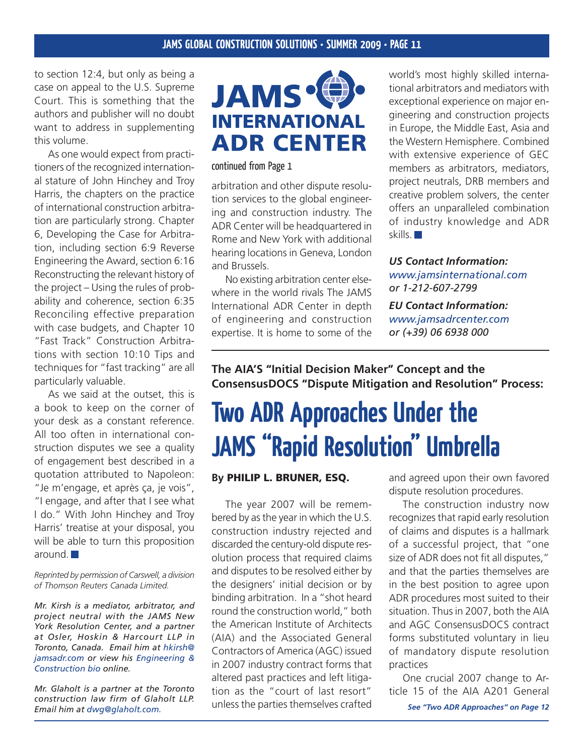to section 12:4, but only as being a case on appeal to the U.S. Supreme Court. This is something that the authors and publisher will no doubt want to address in supplementing this volume.

 As one would expect from practitioners of the recognized international stature of John Hinchey and Troy Harris, the chapters on the practice of international construction arbitration are particularly strong. Chapter 6, Developing the Case for Arbitration, including section 6:9 Reverse Engineering the Award, section 6:16 Reconstructing the relevant history of the project – Using the rules of probability and coherence, section 6:35 Reconciling effective preparation with case budgets, and Chapter 10 "Fast Track" Construction Arbitrations with section 10:10 Tips and techniques for "fast tracking" are all particularly valuable.

 As we said at the outset, this is a book to keep on the corner of your desk as a constant reference. All too often in international construction disputes we see a quality of engagement best described in a quotation attributed to Napoleon: "Je m'engage, et après ça, je vois", "I engage, and after that I see what I do." With John Hinchey and Troy Harris' treatise at your disposal, you will be able to turn this proposition around.

*Reprinted by permission of Carswell, a division of Thomson Reuters Canada Limited.*

*Mr. Kirsh is a mediator, arbitrator, and project neutral with the JAMS New York Resolution Center, and a partner at Osler, Hoskin & Harcourt LLP in Toronto, Canada. Email him at hkirsh@ jamsadr.com or view his [Engineering &](http://www.jamsadr.com/professionals/xpqProfDet.aspx?xpST=ProfessionalDetail&professional=1225&nbioID=c9043765-db6c-42b4-aef4-fed55e8ad601&ajax=no) [Construction bio](http://www.jamsadr.com/professionals/xpqProfDet.aspx?xpST=ProfessionalDetail&professional=1225&nbioID=c9043765-db6c-42b4-aef4-fed55e8ad601&ajax=no) online.*

*Mr. Glaholt is a partner at the Toronto construction law firm of Glaholt LLP. Email him at dwg@glaholt.com.*



continued from Page 1

arbitration and other dispute resolution services to the global engineering and construction industry. The ADR Center will be headquartered in Rome and New York with additional hearing locations in Geneva, London and Brussels.

 No existing arbitration center elsewhere in the world rivals The JAMS International ADR Center in depth of engineering and construction expertise. It is home to some of the

world's most highly skilled international arbitrators and mediators with exceptional experience on major engineering and construction projects in Europe, the Middle East, Asia and the Western Hemisphere. Combined with extensive experience of GEC members as arbitrators, mediators, project neutrals, DRB members and creative problem solvers, the center offers an unparalleled combination of industry knowledge and ADR skills.

*US Contact Information: <www.jamsinternational.com> or 1-212-607-2799*

*EU Contact Information: <www.jamsadrcenter.com> or (+39) 06 6938 000*

**The AIA'S "Initial Decision Maker" Concept and the ConsensusDOCS "Dispute Mitigation and Resolution" Process:**

## **Two ADR Approaches Under the JAMS "Rapid Resolution" Umbrella**

### **By** Philip L. Bruner, ESQ.

 The year 2007 will be remembered by as the year in which the U.S. construction industry rejected and discarded the century-old dispute resolution process that required claims and disputes to be resolved either by the designers' initial decision or by binding arbitration. In a "shot heard round the construction world," both the American Institute of Architects (AIA) and the Associated General Contractors of America (AGC) issued in 2007 industry contract forms that altered past practices and left litigation as the "court of last resort" unless the parties themselves crafted

and agreed upon their own favored dispute resolution procedures.

 The construction industry now recognizes that rapid early resolution of claims and disputes is a hallmark of a successful project, that "one size of ADR does not fit all disputes," and that the parties themselves are in the best position to agree upon ADR procedures most suited to their situation. Thus in 2007, both the AIA and AGC ConsensusDOCS contract forms substituted voluntary in lieu of mandatory dispute resolution practices

 One crucial 2007 change to Article 15 of the AIA A201 General

*See "Two ADR Approaches" on Page 12*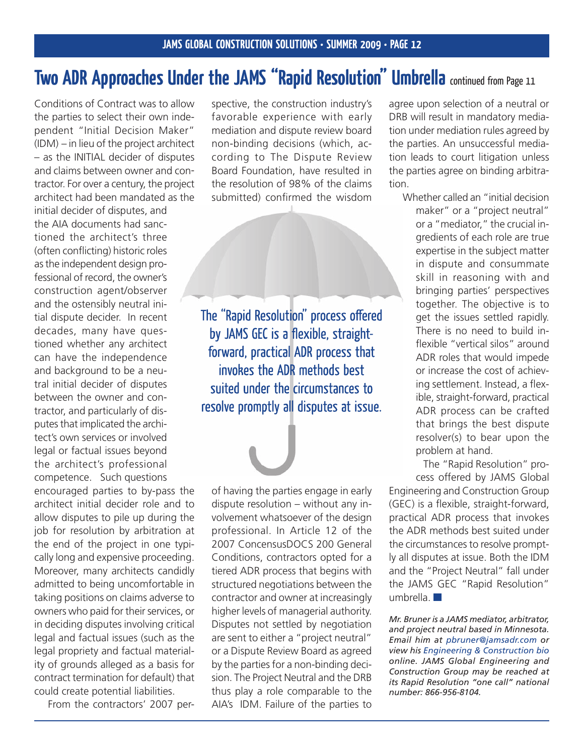## **Two ADR Approaches Under the JAMS "Rapid Resolution" Umbrella continued from Page 11**

Conditions of Contract was to allow the parties to select their own independent "Initial Decision Maker" (IDM) – in lieu of the project architect – as the INITIAL decider of disputes and claims between owner and contractor. For over a century, the project architect had been mandated as the

initial decider of disputes, and the AIA documents had sanctioned the architect's three (often conflicting) historic roles asthe independent design professional of record, the owner's construction agent/observer and the ostensibly neutral initial dispute decider. In recent decades, many have questioned whether any architect can have the independence and background to be a neutral initial decider of disputes between the owner and contractor, and particularly of disputes that implicated the architect's own services or involved legal or factual issues beyond the architect's professional competence. Such questions

encouraged parties to by-pass the architect initial decider role and to allow disputes to pile up during the job for resolution by arbitration at the end of the project in one typically long and expensive proceeding. Moreover, many architects candidly admitted to being uncomfortable in taking positions on claims adverse to owners who paid for their services, or in deciding disputes involving critical legal and factual issues (such as the legal propriety and factual materiality of grounds alleged as a basis for contract termination for default) that could create potential liabilities.

 From the contractors' 2007 per-

spective, the construction industry's favorable experience with early mediation and dispute review board non-binding decisions (which, according to The Dispute Review Board Foundation, have resulted in the resolution of 98% of the claims submitted) confirmed the wisdom

The "Rapid Resolution" process offered by JAMS GEC is a flexible, straightforward, practical ADR process that invokes the ADR methods best suited under the circumstances to resolve promptly all disputes at issue.

of having the parties engage in early dispute resolution – without any involvement whatsoever of the design professional. In Article 12 of the 2007 ConcensusDOCS 200 General Conditions, contractors opted for a tiered ADR process that begins with structured negotiations between the contractor and owner at increasingly higher levels of managerial authority. Disputes not settled by negotiation are sent to either a "project neutral" or a Dispute Review Board as agreed by the parties for a non-binding decision. The Project Neutral and the DRB thus play a role comparable to the AIA's IDM. Failure of the parties to agree upon selection of a neutral or DRB will result in mandatory mediation under mediation rules agreed by the parties. An unsuccessful mediation leads to court litigation unless the parties agree on binding arbitration.

 Whether called an "initial decision maker" or a "project neutral" or a "mediator," the crucial ingredients of each role are true expertise in the subject matter in dispute and consummate skill in reasoning with and bringing parties' perspectives together. The objective is to get the issues settled rapidly. There is no need to build inflexible "vertical silos" around ADR roles that would impede or increase the cost of achieving settlement. Instead, a flexible, straight-forward, practical ADR process can be crafted that brings the best dispute resolver(s) to bear upon the problem at hand.

 The "Rapid Resolution" process offered by JAMS Global

Engineering and Construction Group (GEC) is a flexible, straight-forward, practical ADR process that invokes the ADR methods best suited under the circumstances to resolve promptly all disputes at issue. Both the IDM and the "Project Neutral" fall under the JAMS GEC "Rapid Resolution" umbrella.

*Mr. Bruner is a JAMS mediator, arbitrator, and project neutral based in Minnesota. Email him at pbruner@jamsadr.com or view his [Engineering & Construction bio](http://www.jamsadr.com/professionals/xpqProfDet.aspx?xpST=ProfessionalDetail&professional=1209&nbioID=ae24fdb9-4527-4a73-86f0-d8325871004c&ajax=no) online. JAMS Global Engineering and Construction Group may be reached at its Rapid Resolution "one call" national number: 866-956-8104.*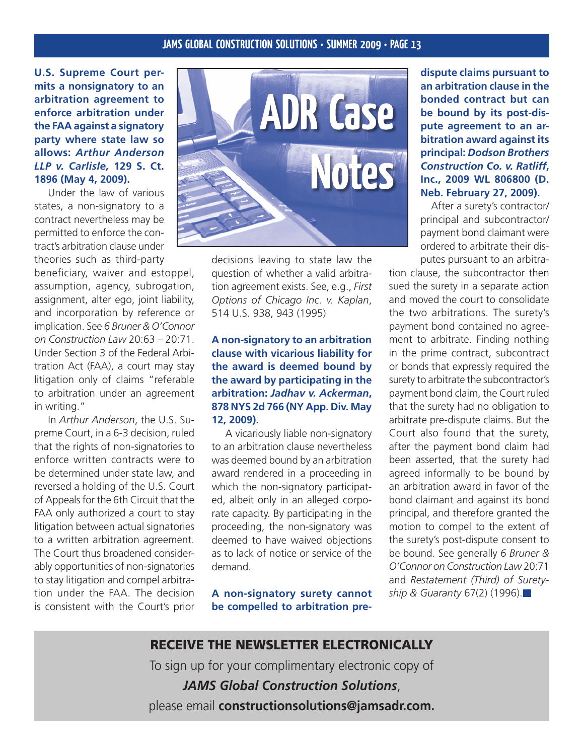**U.S. Supreme Court permits a nonsignatory to an arbitration agreement to enforce arbitration under the FAA against a signatory party where state law so allows:** *Arthur Anderson LLP v. Carlisle,* **129 S. Ct. 1896 (May 4, 2009).**

 Under the law of various states, a non-signatory to a contract nevertheless may be permitted to enforce the contract's arbitration clause under theories such as third-party

beneficiary, waiver and estoppel, assumption, agency, subrogation, assignment, alter ego, joint liability, and incorporation by reference or implication. See *6 Bruner & O'Connor on Construction Law* 20:63 – 20:71. Under Section 3 of the Federal Arbitration Act (FAA), a court may stay litigation only of claims "referable to arbitration under an agreement in writing."

 In *Arthur Anderson*, the U.S. Supreme Court, in a 6-3 decision, ruled that the rights of non-signatories to enforce written contracts were to be determined under state law, and reversed a holding of the U.S. Court of Appeals for the 6th Circuit that the FAA only authorized a court to stay litigation between actual signatories to a written arbitration agreement. The Court thus broadened considerably opportunities of non-signatories to stay litigation and compel arbitration under the FAA. The decision is consistent with the Court's prior



decisions leaving to state law the question of whether a valid arbitration agreement exists. See, e.g., *First Options of Chicago Inc. v. Kaplan*, 514 U.S. 938, 943 (1995)

### **A non-signatory to an arbitration clause with vicarious liability for the award is deemed bound by the award by participating in the arbitration:** *Jadhav v. Ackerman***, 878 NYS 2d 766 (NY App. Div. May 12, 2009).**

 A vicariously liable non-signatory to an arbitration clause nevertheless was deemed bound by an arbitration award rendered in a proceeding in which the non-signatory participated, albeit only in an alleged corporate capacity. By participating in the proceeding, the non-signatory was deemed to have waived objections as to lack of notice or service of the demand.

**A non-signatory surety cannot be compelled to arbitration pre-** **dispute claims pursuant to an arbitration clause in the bonded contract but can be bound by its post-dispute agreement to an arbitration award against its principal:** *Dodson Brothers Construction Co. v. Ratliff***, Inc., 2009 WL 806800 (D. Neb. February 27, 2009).**

After a surety's contractor/ principal and subcontractor/ payment bond claimant were ordered to arbitrate their disputes pursuant to an arbitra-

tion clause, the subcontractor then sued the surety in a separate action and moved the court to consolidate the two arbitrations. The surety's payment bond contained no agreement to arbitrate. Finding nothing in the prime contract, subcontract or bonds that expressly required the surety to arbitrate the subcontractor's payment bond claim, the Court ruled that the surety had no obligation to arbitrate pre-dispute claims. But the Court also found that the surety, after the payment bond claim had been asserted, that the surety had agreed informally to be bound by an arbitration award in favor of the bond claimant and against its bond principal, and therefore granted the motion to compel to the extent of the surety's post-dispute consent to be bound. See generally *6 Bruner & O'Connor on Construction Law* 20:71 and *Restatement (Third) of Suretyship & Guaranty* 67(2) (1996).

### Receive the Newsletter Electronically

To sign up for your complimentary electronic copy of

*JAMS Global Construction Solutions*, please email **constructionsolutions@jamsadr.com.**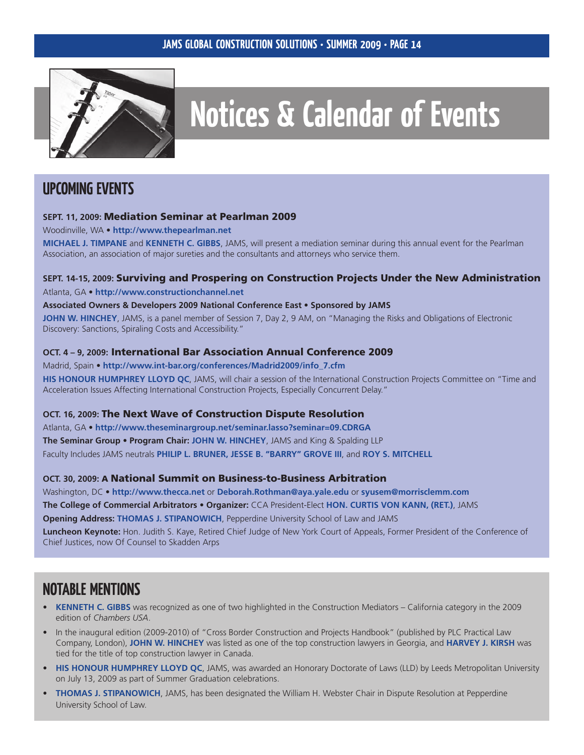

# **Notices & Calendar of Events**

## **Upcoming Events**

### **SEPT. 11, 2009:** Mediation Seminar at Pearlman 2009

Woodinville, WA • **[http://www.thepearlman.net](http://www.thepearlman.net/)**

**MICHAEL J. TIMPANE** and **KENNETH C. GIBBS**, JAMS, will present a mediation seminar during this annual event for the Pearlman Association, an association of major sureties and the consultants and attorneys who service them.

### **SEPT. 14-15, 2009:** Surviving and Prospering on Construction Projects Under the New Administration

Atlanta, GA • **<http://www.constructionchannel.net>**

#### **Associated Owners & Developers 2009 National Conference East** • **Sponsored by JAMS**

**JOHN W. HINCHEY**, JAMS, is a panel member of Session 7, Day 2, 9 AM, on "Managing the Risks and Obligations of Electronic Discovery: Sanctions, Spiraling Costs and Accessibility."

### **Oct. 4 – 9, 2009:** International Bar Association Annual Conference 2009

Madrid, Spain • **[http://www.int-bar.org/conferences/Madrid2009/info\\_7.cfm](http://www.int-bar.org/conferences/Madrid2009/info_7.cfm)**

**His Honour Humphrey LLoyd QC**, JAMS, will chair a session of the International Construction Projects Committee on "Time and Acceleration Issues Affecting International Construction Projects, Especially Concurrent Delay."

### **Oct. 16, 2009:** The Next Wave of Construction Dispute Resolution

Atlanta, GA • **<http://www.theseminargroup.net/seminar.lasso?seminar=09.CDRGA> The Seminar Group** • **Program Chair: John W. Hinchey**, JAMS and King & Spalding LLP Faculty Includes JAMS neutrals **Philip L. Bruner, Jesse B. "Barry" Grove III**, and **Roy S. Mitchell**

### **Oct. 30, 2009:** A National Summit on Business-to-Business Arbitration

Washington, DC • **<http://www.thecca.net>** or **Deborah.Rothman@aya.yale.edu** or **syusem@morrisclemm.com The College of Commercial Arbitrators** • **Organizer:** CCA President-Elect **Hon. Curtis von Kann, (Ret.)**, JAMS **Opening Address: Thomas J. Stipanowich**, Pepperdine University School of Law and JAMS **Luncheon Keynote:** Hon. Judith S. Kaye, Retired Chief Judge of New York Court of Appeals, Former President of the Conference of Chief Justices, now Of Counsel to Skadden Arps

## **Notable Mentions**

- **Kenneth C. Gibbs** was recognized as one of two highlighted in the Construction Mediators California category in the 2009 edition of *Chambers USA*. **•**
- In the inaugural edition (2009-2010) of "Cross Border Construction and Projects Handbook" (published by PLC Practical Law Company, London), **John W. Hinchey** was listed as one of the top construction lawyers in Georgia, and **Harvey J. Kirsh** was tied for the title of top construction lawyer in Canada. •
- **HIS HONOUR HUMPHREY LLOYD QC**, JAMS, was awarded an Honorary Doctorate of Laws (LLD) by Leeds Metropolitan University on July 13, 2009 as part of Summer Graduation celebrations.
- **Thomas J. Stipanowich**, JAMS, has been designated the William H. Webster Chair in Dispute Resolution at Pepperdine University School of Law. **•**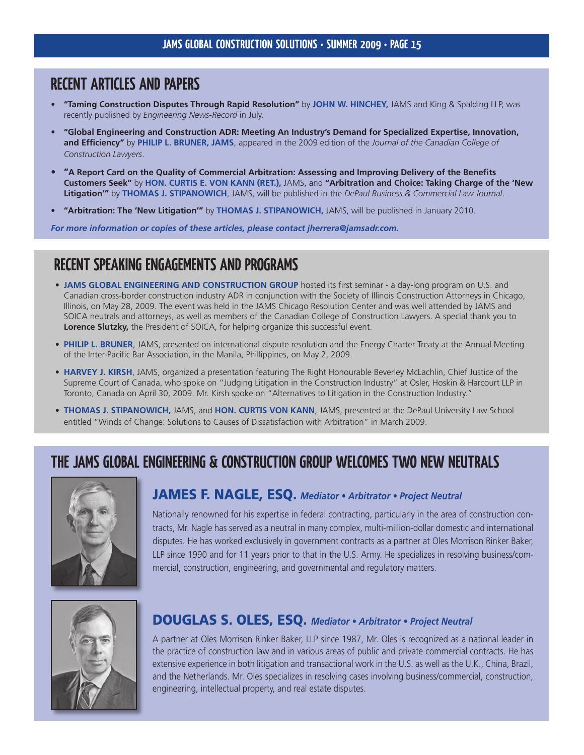### **Recent Articles and Papers**

- **"Taming Construction Disputes Through Rapid Resolution"** by **John W. Hinchey,** JAMS and King & Spalding LLP, was recently published by *Engineering News-Record* in July. **•**
- **"Global Engineering and Construction ADR: Meeting An Industry's Demand for Specialized Expertise, Innovation, and Efficiency"** by **Philip L. Bruner, JAMS**, appeared in the 2009 edition of the *Journal of the Canadian College of Construction Lawyers*. **•**
- **"A Report Card on the Quality of Commercial Arbitration: Assessing and Improving Delivery of the Benefits Customers Seek"** by **Hon. Curtis E. von Kann (Ret.),** JAMS, and **"Arbitration and Choice: Taking Charge of the 'New Litigation'"** by **Thomas J. Stipanowich**, JAMS, will be published in the *DePaul Business & Commercial Law Journal*. **•**
- **"Arbitration: The 'New Litigation'"** by **Thomas J. Stipanowich,** JAMS, will be published in January 2010. **•**

*For more information or copies of these articles, please contact jherrera@jamsadr.com.*

## **Recent Speaking Engagements and Programs**

- **JAMS GLOBAL ENGINEERING AND CONSTRUCTION GROUP** hosted its first seminar a day-long program on U.S. and Canadian cross-border construction industry ADR in conjunction with the Society of Illinois Construction Attorneys in Chicago, Illinois, on May 28, 2009. The event was held in the JAMS Chicago Resolution Center and was well attended by JAMS and SOICA neutrals and attorneys, as well as members of the Canadian College of Construction Lawyers. A special thank you to **Lorence Slutzky,** the President of SOICA, for helping organize this successful event.
- **Philip L. Bruner**, JAMS, presented on international dispute resolution and the Energy Charter Treaty at the Annual Meeting **•** of the Inter-Pacific Bar Association, in the Manila, Phillippines, on May 2, 2009.
- **Harvey J. Kirsh**, JAMS, organized a presentation featuring The Right Honourable Beverley McLachlin, Chief Justice of the **•** Supreme Court of Canada, who spoke on "Judging Litigation in the Construction Industry" at Osler, Hoskin & Harcourt LLP in Toronto, Canada on April 30, 2009. Mr. Kirsh spoke on "Alternatives to Litigation in the Construction Industry."
- **THOMAS J. STIPANOWICH, JAMS, and HON. CURTIS VON KANN, JAMS, presented at the DePaul University Law School** entitled "Winds of Change: Solutions to Causes of Dissatisfaction with Arbitration" in March 2009.

## **The JAMS Global Engineering & Construction Group Welcomes TWO New Neutrals**



### JAMES F. NAGLE, ESQ. *Mediator • Arbitrator • Project Neutral*

Nationally renowned for his expertise in federal contracting, particularly in the area of construction contracts, Mr. Nagle has served as a neutral in many complex, multi-million-dollar domestic and international disputes. He has worked exclusively in government contracts as a partner at Oles Morrison Rinker Baker, LLP since 1990 and for 11 years prior to that in the U.S. Army. He specializes in resolving business/commercial, construction, engineering, and governmental and regulatory matters.



### DOUGLAS S. OLES, ESQ. *Mediator • Arbitrator • Project Neutral*

A partner at Oles Morrison Rinker Baker, LLP since 1987, Mr. Oles is recognized as a national leader in the practice of construction law and in various areas of public and private commercial contracts. He has extensive experience in both litigation and transactional work in the U.S. as well as the U.K., China, Brazil, and the Netherlands. Mr. Oles specializes in resolving cases involving business/commercial, construction, engineering, intellectual property, and real estate disputes.